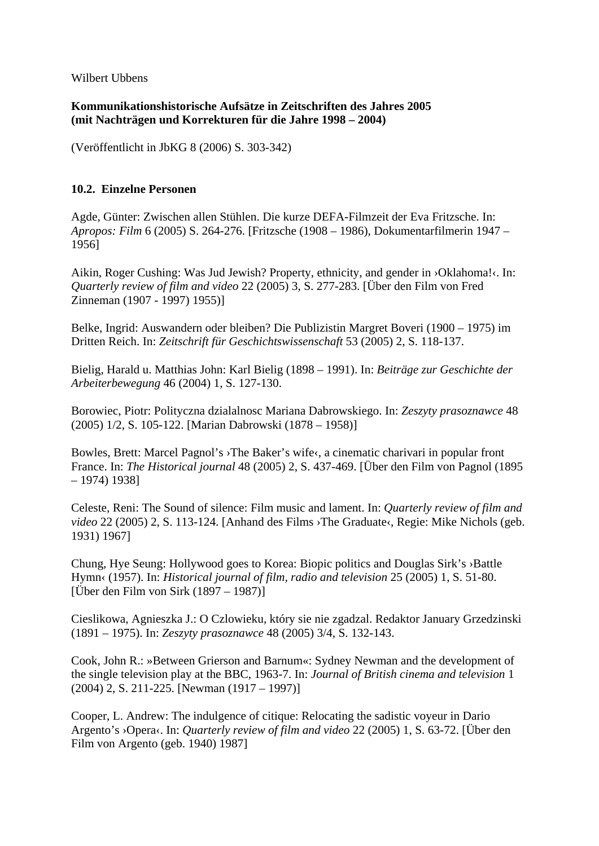Wilbert Ubbens

**Kommunikationshistorische Aufsätze in Zeitschriften des Jahres 2005 (mit Nachträgen und Korrekturen für die Jahre 1998 – 2004)** 

(Veröffentlicht in JbKG 8 (2006) S. 303-342)

## **10.2. Einzelne Personen**

Agde, Günter: Zwischen allen Stühlen. Die kurze DEFA-Filmzeit der Eva Fritzsche. In: *Apropos: Film* 6 (2005) S. 264-276. [Fritzsche (1908 – 1986), Dokumentarfilmerin 1947 – 1956]

Aikin, Roger Cushing: Was Jud Jewish? Property, ethnicity, and gender in ›Oklahoma!‹. In: *Quarterly review of film and video* 22 (2005) 3, S. 277-283. [Über den Film von Fred Zinneman (1907 - 1997) 1955)]

Belke, Ingrid: Auswandern oder bleiben? Die Publizistin Margret Boveri (1900 – 1975) im Dritten Reich. In: *Zeitschrift für Geschichtswissenschaft* 53 (2005) 2, S. 118-137.

Bielig, Harald u. Matthias John: Karl Bielig (1898 – 1991). In: *Beiträge zur Geschichte der Arbeiterbewegung* 46 (2004) 1, S. 127-130.

Borowiec, Piotr: Polityczna dzialalnosc Mariana Dabrowskiego. In: *Zeszyty prasoznawce* 48 (2005) 1/2, S. 105-122. [Marian Dabrowski (1878 – 1958)]

Bowles, Brett: Marcel Pagnol's ›The Baker's wife‹, a cinematic charivari in popular front France. In: *The Historical journal* 48 (2005) 2, S. 437-469. [Über den Film von Pagnol (1895 – 1974) 1938]

Celeste, Reni: The Sound of silence: Film music and lament. In: *Quarterly review of film and video* 22 (2005) 2, S. 113-124. [Anhand des Films > The Graduate<, Regie: Mike Nichols (geb. 1931) 1967]

Chung, Hye Seung: Hollywood goes to Korea: Biopic politics and Douglas Sirk's ›Battle Hymn‹ (1957). In: *Historical journal of film, radio and television* 25 (2005) 1, S. 51-80. [Über den Film von Sirk (1897 – 1987)]

Cieslikowa, Agnieszka J.: O Czlowieku, który sie nie zgadzal. Redaktor January Grzedzinski (1891 – 1975). In: *Zeszyty prasoznawce* 48 (2005) 3/4, S. 132-143.

Cook, John R.: »Between Grierson and Barnum«: Sydney Newman and the development of the single television play at the BBC, 1963-7. In: *Journal of British cinema and television* 1 (2004) 2, S. 211-225. [Newman (1917 – 1997)]

Cooper, L. Andrew: The indulgence of citique: Relocating the sadistic voyeur in Dario Argento's ›Opera‹. In: *Quarterly review of film and video* 22 (2005) 1, S. 63-72. [Über den Film von Argento (geb. 1940) 1987]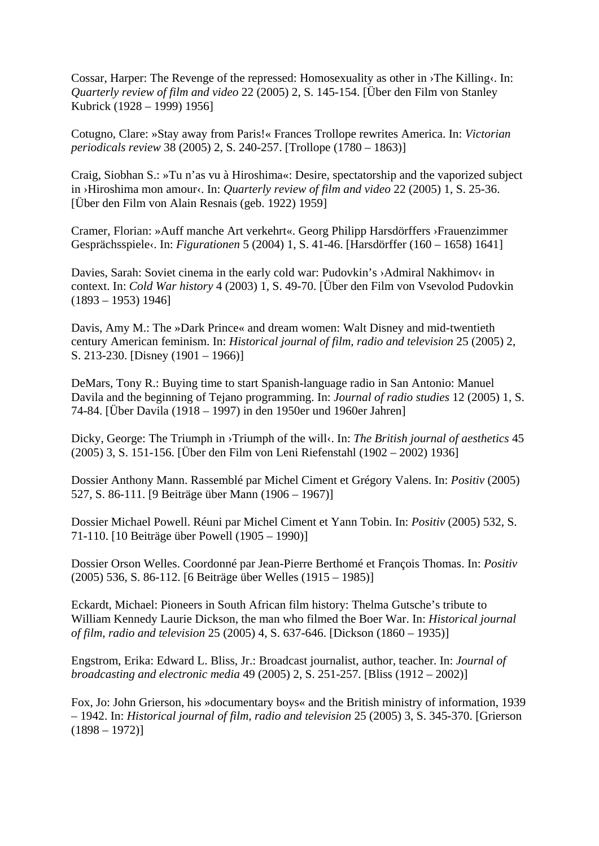Cossar, Harper: The Revenge of the repressed: Homosexuality as other in ›The Killing‹. In: *Quarterly review of film and video* 22 (2005) 2, S. 145-154. [Über den Film von Stanley Kubrick (1928 – 1999) 1956]

Cotugno, Clare: »Stay away from Paris!« Frances Trollope rewrites America. In: *Victorian periodicals review* 38 (2005) 2, S. 240-257. [Trollope (1780 – 1863)]

Craig, Siobhan S.: »Tu n'as vu à Hiroshima«: Desire, spectatorship and the vaporized subject in ›Hiroshima mon amour‹. In: *Quarterly review of film and video* 22 (2005) 1, S. 25-36. [Über den Film von Alain Resnais (geb. 1922) 1959]

Cramer, Florian: »Auff manche Art verkehrt«. Georg Philipp Harsdörffers ›Frauenzimmer Gesprächsspiele‹. In: *Figurationen* 5 (2004) 1, S. 41-46. [Harsdörffer (160 – 1658) 1641]

Davies, Sarah: Soviet cinema in the early cold war: Pudovkin's >Admiral Nakhimov< in context. In: *Cold War history* 4 (2003) 1, S. 49-70. [Über den Film von Vsevolod Pudovkin  $(1893 - 1953)$  1946]

Davis, Amy M.: The »Dark Prince« and dream women: Walt Disney and mid-twentieth century American feminism. In: *Historical journal of film, radio and television* 25 (2005) 2, S. 213-230. [Disney (1901 – 1966)]

DeMars, Tony R.: Buying time to start Spanish-language radio in San Antonio: Manuel Davila and the beginning of Tejano programming. In: *Journal of radio studies* 12 (2005) 1, S. 74-84. [Über Davila (1918 – 1997) in den 1950er und 1960er Jahren]

Dicky, George: The Triumph in >Triumph of the will<. In: *The British journal of aesthetics* 45 (2005) 3, S. 151-156. [Über den Film von Leni Riefenstahl (1902 – 2002) 1936]

Dossier Anthony Mann. Rassemblé par Michel Ciment et Grégory Valens. In: *Positiv* (2005) 527, S. 86-111. [9 Beiträge über Mann (1906 – 1967)]

Dossier Michael Powell. Réuni par Michel Ciment et Yann Tobin. In: *Positiv* (2005) 532, S. 71-110. [10 Beiträge über Powell (1905 – 1990)]

Dossier Orson Welles. Coordonné par Jean-Pierre Berthomé et François Thomas. In: *Positiv*  (2005) 536, S. 86-112. [6 Beiträge über Welles (1915 – 1985)]

Eckardt, Michael: Pioneers in South African film history: Thelma Gutsche's tribute to William Kennedy Laurie Dickson, the man who filmed the Boer War. In: *Historical journal of film, radio and television* 25 (2005) 4, S. 637-646. [Dickson (1860 – 1935)]

Engstrom, Erika: Edward L. Bliss, Jr.: Broadcast journalist, author, teacher. In: *Journal of broadcasting and electronic media* 49 (2005) 2, S. 251-257. [Bliss (1912 – 2002)]

Fox, Jo: John Grierson, his »documentary boys« and the British ministry of information, 1939 – 1942. In: *Historical journal of film, radio and television* 25 (2005) 3, S. 345-370. [Grierson  $(1898 - 1972)$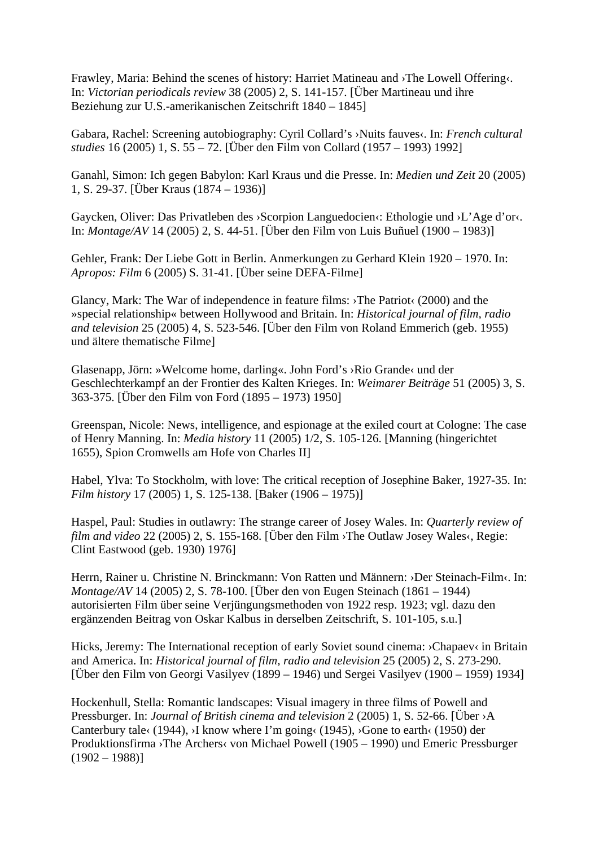Frawley, Maria: Behind the scenes of history: Harriet Matineau and ›The Lowell Offering‹. In: *Victorian periodicals review* 38 (2005) 2, S. 141-157. [Über Martineau und ihre Beziehung zur U.S.-amerikanischen Zeitschrift 1840 – 1845]

Gabara, Rachel: Screening autobiography: Cyril Collard's ›Nuits fauves‹. In: *French cultural studies* 16 (2005) 1, S. 55 – 72. [Über den Film von Collard (1957 – 1993) 1992]

Ganahl, Simon: Ich gegen Babylon: Karl Kraus und die Presse. In: *Medien und Zeit* 20 (2005) 1, S. 29-37. [Über Kraus (1874 – 1936)]

Gaycken, Oliver: Das Privatleben des ›Scorpion Languedocien‹: Ethologie und ›L'Age d'or‹. In: *Montage/AV* 14 (2005) 2, S. 44-51. [Über den Film von Luis Buñuel (1900 – 1983)]

Gehler, Frank: Der Liebe Gott in Berlin. Anmerkungen zu Gerhard Klein 1920 – 1970. In: *Apropos: Film* 6 (2005) S. 31-41. [Über seine DEFA-Filme]

Glancy, Mark: The War of independence in feature films: ›The Patriot‹ (2000) and the »special relationship« between Hollywood and Britain. In: *Historical journal of film, radio and television* 25 (2005) 4, S. 523-546. [Über den Film von Roland Emmerich (geb. 1955) und ältere thematische Filme]

Glasenapp, Jörn: »Welcome home, darling«. John Ford's ›Rio Grande‹ und der Geschlechterkampf an der Frontier des Kalten Krieges. In: *Weimarer Beiträge* 51 (2005) 3, S. 363-375. [Über den Film von Ford (1895 – 1973) 1950]

Greenspan, Nicole: News, intelligence, and espionage at the exiled court at Cologne: The case of Henry Manning. In: *Media history* 11 (2005) 1/2, S. 105-126. [Manning (hingerichtet 1655), Spion Cromwells am Hofe von Charles II]

Habel, Ylva: To Stockholm, with love: The critical reception of Josephine Baker, 1927-35. In: *Film history* 17 (2005) 1, S. 125-138. [Baker (1906 – 1975)]

Haspel, Paul: Studies in outlawry: The strange career of Josey Wales. In: *Quarterly review of film and video* 22 (2005) 2, S. 155-168. [Über den Film ›The Outlaw Josey Wales‹, Regie: Clint Eastwood (geb. 1930) 1976]

Herrn, Rainer u. Christine N. Brinckmann: Von Ratten und Männern: ›Der Steinach-Film‹. In: *Montage/AV* 14 (2005) 2, S. 78-100. [Über den von Eugen Steinach (1861 – 1944) autorisierten Film über seine Verjüngungsmethoden von 1922 resp. 1923; vgl. dazu den ergänzenden Beitrag von Oskar Kalbus in derselben Zeitschrift, S. 101-105, s.u.]

Hicks, Jeremy: The International reception of early Soviet sound cinema: >Chapaev< in Britain and America. In: *Historical journal of film, radio and television* 25 (2005) 2, S. 273-290. [Über den Film von Georgi Vasilyev (1899 – 1946) und Sergei Vasilyev (1900 – 1959) 1934]

Hockenhull, Stella: Romantic landscapes: Visual imagery in three films of Powell and Pressburger. In: *Journal of British cinema and television* 2 (2005) 1, S. 52-66. [Über ›A Canterbury tale  $(1944)$ , >I know where I'm going  $(1945)$ ,  $\delta$  Gone to earth $(1950)$  der Produktionsfirma ›The Archers‹ von Michael Powell (1905 – 1990) und Emeric Pressburger  $(1902 - 1988)$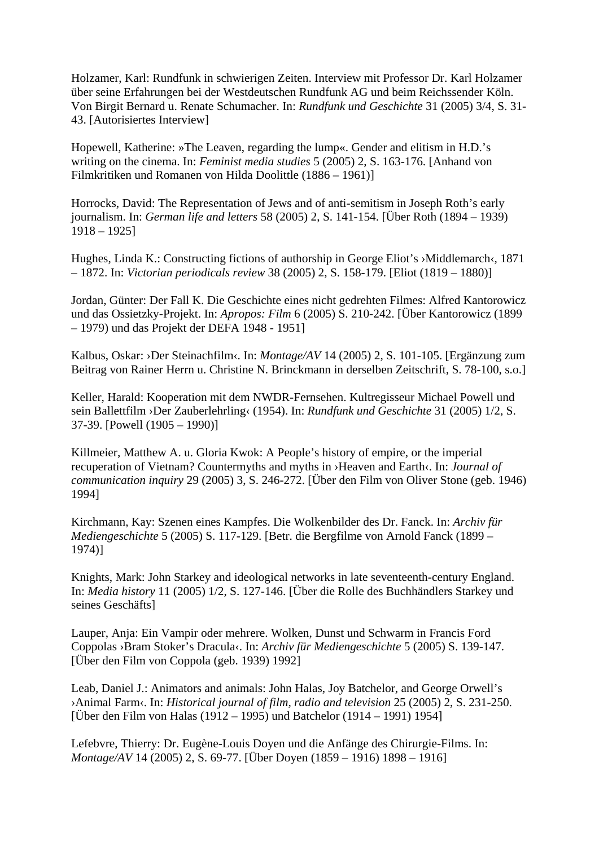Holzamer, Karl: Rundfunk in schwierigen Zeiten. Interview mit Professor Dr. Karl Holzamer über seine Erfahrungen bei der Westdeutschen Rundfunk AG und beim Reichssender Köln. Von Birgit Bernard u. Renate Schumacher. In: *Rundfunk und Geschichte* 31 (2005) 3/4, S. 31- 43. [Autorisiertes Interview]

Hopewell, Katherine: »The Leaven, regarding the lump«. Gender and elitism in H.D.'s writing on the cinema. In: *Feminist media studies* 5 (2005) 2, S. 163-176. [Anhand von Filmkritiken und Romanen von Hilda Doolittle (1886 – 1961)]

Horrocks, David: The Representation of Jews and of anti-semitism in Joseph Roth's early journalism. In: *German life and letters* 58 (2005) 2, S. 141-154. [Über Roth (1894 – 1939) 1918 – 1925]

Hughes, Linda K.: Constructing fictions of authorship in George Eliot's ›Middlemarch‹, 1871 – 1872. In: *Victorian periodicals review* 38 (2005) 2, S. 158-179. [Eliot (1819 – 1880)]

Jordan, Günter: Der Fall K. Die Geschichte eines nicht gedrehten Filmes: Alfred Kantorowicz und das Ossietzky-Projekt. In: *Apropos: Film* 6 (2005) S. 210-242. [Über Kantorowicz (1899 – 1979) und das Projekt der DEFA 1948 - 1951]

Kalbus, Oskar: ›Der Steinachfilm‹. In: *Montage/AV* 14 (2005) 2, S. 101-105. [Ergänzung zum Beitrag von Rainer Herrn u. Christine N. Brinckmann in derselben Zeitschrift, S. 78-100, s.o.]

Keller, Harald: Kooperation mit dem NWDR-Fernsehen. Kultregisseur Michael Powell und sein Ballettfilm ›Der Zauberlehrling‹ (1954). In: *Rundfunk und Geschichte* 31 (2005) 1/2, S. 37-39. [Powell (1905 – 1990)]

Killmeier, Matthew A. u. Gloria Kwok: A People's history of empire, or the imperial recuperation of Vietnam? Countermyths and myths in ›Heaven and Earth‹. In: *Journal of communication inquiry* 29 (2005) 3, S. 246-272. [Über den Film von Oliver Stone (geb. 1946) 1994]

Kirchmann, Kay: Szenen eines Kampfes. Die Wolkenbilder des Dr. Fanck. In: *Archiv für Mediengeschichte* 5 (2005) S. 117-129. [Betr. die Bergfilme von Arnold Fanck (1899 – 1974)]

Knights, Mark: John Starkey and ideological networks in late seventeenth-century England. In: *Media history* 11 (2005) 1/2, S. 127-146. [Über die Rolle des Buchhändlers Starkey und seines Geschäfts]

Lauper, Anja: Ein Vampir oder mehrere. Wolken, Dunst und Schwarm in Francis Ford Coppolas ›Bram Stoker's Dracula‹. In: *Archiv für Mediengeschichte* 5 (2005) S. 139-147. [Über den Film von Coppola (geb. 1939) 1992]

Leab, Daniel J.: Animators and animals: John Halas, Joy Batchelor, and George Orwell's ›Animal Farm‹. In: *Historical journal of film, radio and television* 25 (2005) 2, S. 231-250. [Über den Film von Halas (1912 – 1995) und Batchelor (1914 – 1991) 1954]

Lefebvre, Thierry: Dr. Eugène-Louis Doyen und die Anfänge des Chirurgie-Films. In: *Montage/AV* 14 (2005) 2, S. 69-77. [Über Doyen (1859 – 1916) 1898 – 1916]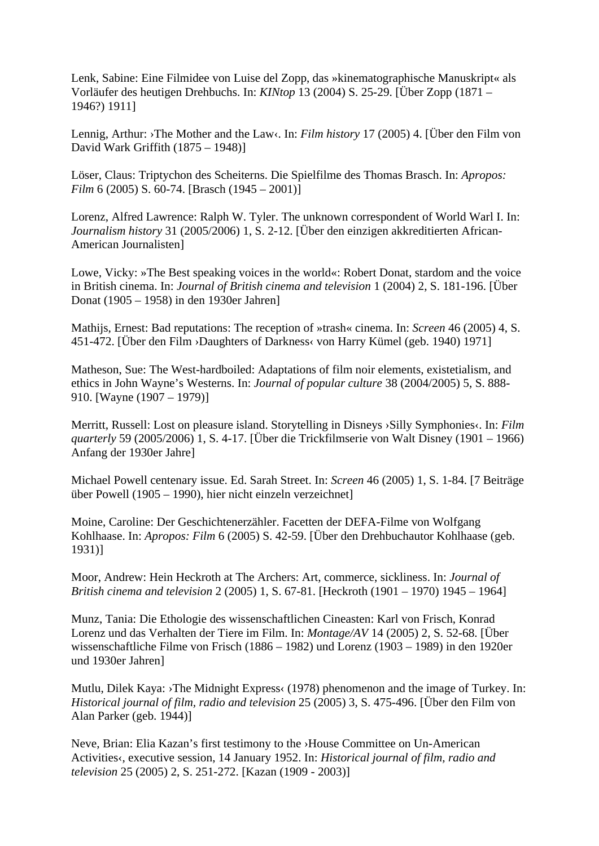Lenk, Sabine: Eine Filmidee von Luise del Zopp, das »kinematographische Manuskript« als Vorläufer des heutigen Drehbuchs. In: *KINtop* 13 (2004) S. 25-29. [Über Zopp (1871 – 1946?) 1911]

Lennig, Arthur: ›The Mother and the Law‹. In: *Film history* 17 (2005) 4. [Über den Film von David Wark Griffith (1875 – 1948)]

Löser, Claus: Triptychon des Scheiterns. Die Spielfilme des Thomas Brasch. In: *Apropos: Film* 6 (2005) S. 60-74. [Brasch (1945 – 2001)]

Lorenz, Alfred Lawrence: Ralph W. Tyler. The unknown correspondent of World Warl I. In: *Journalism history* 31 (2005/2006) 1, S. 2-12. [Über den einzigen akkreditierten African-American Journalisten]

Lowe, Vicky: »The Best speaking voices in the world«: Robert Donat, stardom and the voice in British cinema. In: *Journal of British cinema and television* 1 (2004) 2, S. 181-196. [Über Donat (1905 – 1958) in den 1930er Jahren]

Mathijs, Ernest: Bad reputations: The reception of »trash« cinema. In: *Screen* 46 (2005) 4, S. 451-472. [Über den Film ›Daughters of Darkness‹ von Harry Kümel (geb. 1940) 1971]

Matheson, Sue: The West-hardboiled: Adaptations of film noir elements, existetialism, and ethics in John Wayne's Westerns. In: *Journal of popular culture* 38 (2004/2005) 5, S. 888- 910. [Wayne (1907 – 1979)]

Merritt, Russell: Lost on pleasure island. Storytelling in Disneys > Silly Symphonies <. In: *Film quarterly* 59 (2005/2006) 1, S. 4-17. [Über die Trickfilmserie von Walt Disney (1901 – 1966) Anfang der 1930er Jahre]

Michael Powell centenary issue. Ed. Sarah Street. In: *Screen* 46 (2005) 1, S. 1-84. [7 Beiträge über Powell (1905 – 1990), hier nicht einzeln verzeichnet]

Moine, Caroline: Der Geschichtenerzähler. Facetten der DEFA-Filme von Wolfgang Kohlhaase. In: *Apropos: Film* 6 (2005) S. 42-59. [Über den Drehbuchautor Kohlhaase (geb. 1931)]

Moor, Andrew: Hein Heckroth at The Archers: Art, commerce, sickliness. In: *Journal of British cinema and television* 2 (2005) 1, S. 67-81. [Heckroth (1901 – 1970) 1945 – 1964]

Munz, Tania: Die Ethologie des wissenschaftlichen Cineasten: Karl von Frisch, Konrad Lorenz und das Verhalten der Tiere im Film. In: *Montage/AV* 14 (2005) 2, S. 52-68. [Über wissenschaftliche Filme von Frisch (1886 – 1982) und Lorenz (1903 – 1989) in den 1920er und 1930er Jahren]

Mutlu, Dilek Kaya: >The Midnight Express< (1978) phenomenon and the image of Turkey. In: *Historical journal of film, radio and television* 25 (2005) 3, S. 475-496. [Über den Film von Alan Parker (geb. 1944)]

Neve, Brian: Elia Kazan's first testimony to the ›House Committee on Un-American Activities‹, executive session, 14 January 1952. In: *Historical journal of film, radio and television* 25 (2005) 2, S. 251-272. [Kazan (1909 - 2003)]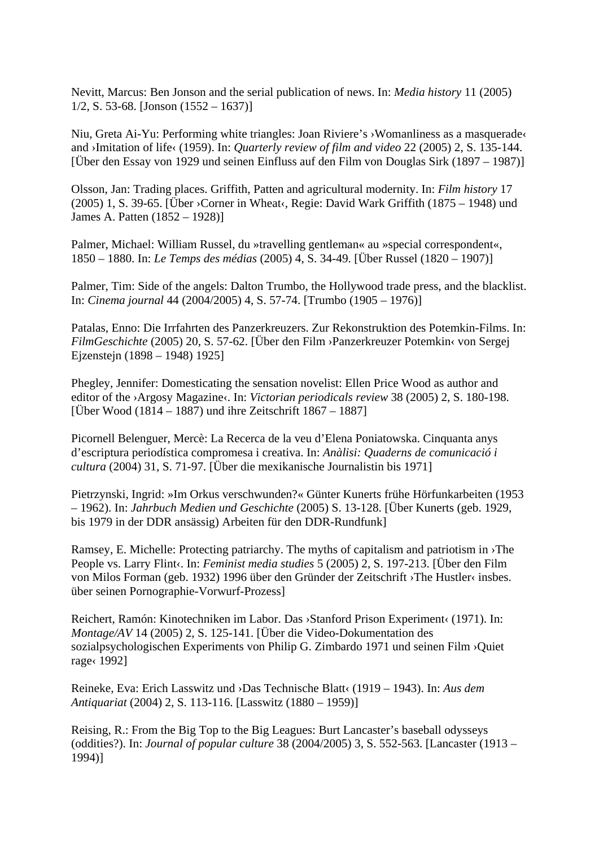Nevitt, Marcus: Ben Jonson and the serial publication of news. In: *Media history* 11 (2005)  $1/2$ , S. 53-68. [Jonson  $(1552 - 1637)$ ]

Niu, Greta Ai-Yu: Performing white triangles: Joan Riviere's ›Womanliness as a masquerade‹ and ›Imitation of life‹ (1959). In: *Quarterly review of film and video* 22 (2005) 2, S. 135-144. [Über den Essay von 1929 und seinen Einfluss auf den Film von Douglas Sirk (1897 – 1987)]

Olsson, Jan: Trading places. Griffith, Patten and agricultural modernity. In: *Film history* 17 (2005) 1, S. 39-65. [Über ›Corner in Wheat‹, Regie: David Wark Griffith (1875 – 1948) und James A. Patten (1852 – 1928)]

Palmer, Michael: William Russel, du »travelling gentleman« au »special correspondent«, 1850 – 1880. In: *Le Temps des médias* (2005) 4, S. 34-49. [Über Russel (1820 – 1907)]

Palmer, Tim: Side of the angels: Dalton Trumbo, the Hollywood trade press, and the blacklist. In: *Cinema journal* 44 (2004/2005) 4, S. 57-74. [Trumbo (1905 – 1976)]

Patalas, Enno: Die Irrfahrten des Panzerkreuzers. Zur Rekonstruktion des Potemkin-Films. In: *FilmGeschichte* (2005) 20, S. 57-62. [Über den Film ›Panzerkreuzer Potemkin‹ von Sergej Ejzenstejn (1898 – 1948) 1925]

Phegley, Jennifer: Domesticating the sensation novelist: Ellen Price Wood as author and editor of the >Argosy Magazine<. In: *Victorian periodicals review* 38 (2005) 2, S. 180-198. [Über Wood (1814 – 1887) und ihre Zeitschrift 1867 – 1887]

Picornell Belenguer, Mercè: La Recerca de la veu d'Elena Poniatowska. Cinquanta anys d'escriptura periodística compromesa i creativa. In: *Anàlisi: Quaderns de comunicació i cultura* (2004) 31, S. 71-97. [Über die mexikanische Journalistin bis 1971]

Pietrzynski, Ingrid: »Im Orkus verschwunden?« Günter Kunerts frühe Hörfunkarbeiten (1953 – 1962). In: *Jahrbuch Medien und Geschichte* (2005) S. 13-128. [Über Kunerts (geb. 1929, bis 1979 in der DDR ansässig) Arbeiten für den DDR-Rundfunk]

Ramsey, E. Michelle: Protecting patriarchy. The myths of capitalism and patriotism in ›The People vs. Larry Flint‹. In: *Feminist media studies* 5 (2005) 2, S. 197-213. [Über den Film von Milos Forman (geb. 1932) 1996 über den Gründer der Zeitschrift ›The Hustler‹ insbes. über seinen Pornographie-Vorwurf-Prozess]

Reichert, Ramón: Kinotechniken im Labor. Das ›Stanford Prison Experiment‹ (1971). In: *Montage/AV* 14 (2005) 2, S. 125-141. [Über die Video-Dokumentation des sozialpsychologischen Experiments von Philip G. Zimbardo 1971 und seinen Film ›Quiet rage‹ 1992]

Reineke, Eva: Erich Lasswitz und ›Das Technische Blatt‹ (1919 – 1943). In: *Aus dem Antiquariat* (2004) 2, S. 113-116. [Lasswitz (1880 – 1959)]

Reising, R.: From the Big Top to the Big Leagues: Burt Lancaster's baseball odysseys (oddities?). In: *Journal of popular culture* 38 (2004/2005) 3, S. 552-563. [Lancaster (1913 – 1994)]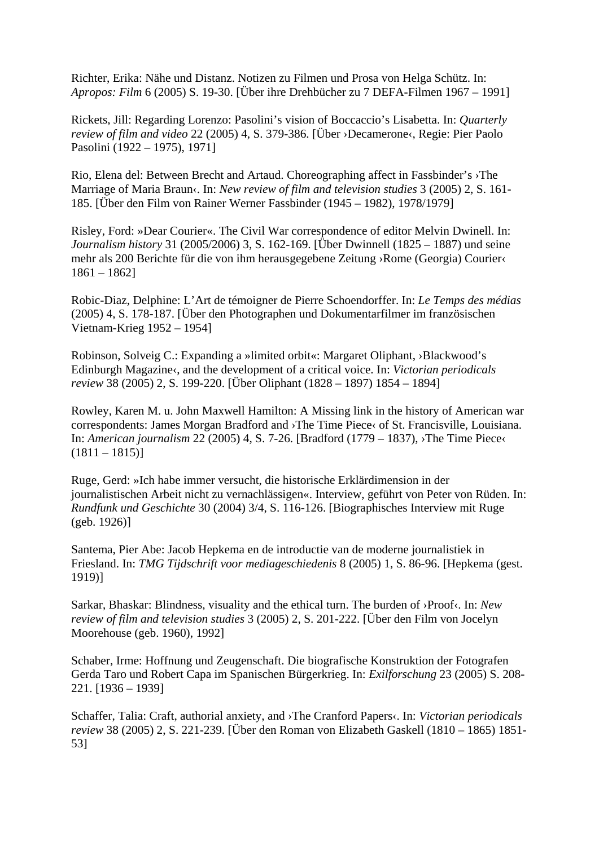Richter, Erika: Nähe und Distanz. Notizen zu Filmen und Prosa von Helga Schütz. In: *Apropos: Film* 6 (2005) S. 19-30. [Über ihre Drehbücher zu 7 DEFA-Filmen 1967 – 1991]

Rickets, Jill: Regarding Lorenzo: Pasolini's vision of Boccaccio's Lisabetta. In: *Quarterly review of film and video* 22 (2005) 4, S. 379-386. [Über ›Decamerone‹, Regie: Pier Paolo Pasolini (1922 – 1975), 1971]

Rio, Elena del: Between Brecht and Artaud. Choreographing affect in Fassbinder's ›The Marriage of Maria Braun‹. In: *New review of film and television studies* 3 (2005) 2, S. 161- 185. [Über den Film von Rainer Werner Fassbinder (1945 – 1982), 1978/1979]

Risley, Ford: »Dear Courier«. The Civil War correspondence of editor Melvin Dwinell. In: *Journalism history* 31 (2005/2006) 3, S. 162-169. [Über Dwinnell (1825 – 1887) und seine mehr als 200 Berichte für die von ihm herausgegebene Zeitung ›Rome (Georgia) Courier‹ 1861 – 1862]

Robic-Diaz, Delphine: L'Art de témoigner de Pierre Schoendorffer. In: *Le Temps des médias* (2005) 4, S. 178-187. [Über den Photographen und Dokumentarfilmer im französischen Vietnam-Krieg 1952 – 1954]

Robinson, Solveig C.: Expanding a »limited orbit«: Margaret Oliphant, ›Blackwood's Edinburgh Magazine‹, and the development of a critical voice. In: *Victorian periodicals review* 38 (2005) 2, S. 199-220. [Über Oliphant (1828 – 1897) 1854 – 1894]

Rowley, Karen M. u. John Maxwell Hamilton: A Missing link in the history of American war correspondents: James Morgan Bradford and ›The Time Piece‹ of St. Francisville, Louisiana. In: *American journalism* 22 (2005) 4, S. 7-26. [Bradford (1779 – 1837), ›The Time Piece‹  $(1811 - 1815)$ 

Ruge, Gerd: »Ich habe immer versucht, die historische Erklärdimension in der journalistischen Arbeit nicht zu vernachlässigen«. Interview, geführt von Peter von Rüden. In: *Rundfunk und Geschichte* 30 (2004) 3/4, S. 116-126. [Biographisches Interview mit Ruge (geb. 1926)]

Santema, Pier Abe: Jacob Hepkema en de introductie van de moderne journalistiek in Friesland. In: *TMG Tijdschrift voor mediageschiedenis* 8 (2005) 1, S. 86-96. [Hepkema (gest. 1919)]

Sarkar, Bhaskar: Blindness, visuality and the ethical turn. The burden of ›Proof‹. In: *New review of film and television studies* 3 (2005) 2, S. 201-222. [Über den Film von Jocelyn Moorehouse (geb. 1960), 1992]

Schaber, Irme: Hoffnung und Zeugenschaft. Die biografische Konstruktion der Fotografen Gerda Taro und Robert Capa im Spanischen Bürgerkrieg. In: *Exilforschung* 23 (2005) S. 208- 221. [1936 – 1939]

Schaffer, Talia: Craft, authorial anxiety, and ›The Cranford Papers‹. In: *Victorian periodicals review* 38 (2005) 2, S. 221-239. [Über den Roman von Elizabeth Gaskell (1810 – 1865) 1851- 53]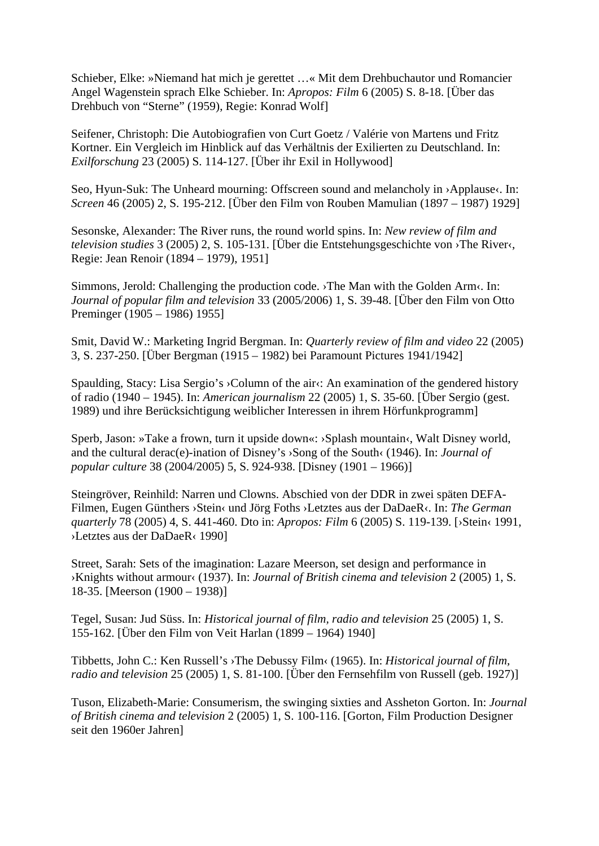Schieber, Elke: »Niemand hat mich je gerettet …« Mit dem Drehbuchautor und Romancier Angel Wagenstein sprach Elke Schieber. In: *Apropos: Film* 6 (2005) S. 8-18. [Über das Drehbuch von "Sterne" (1959), Regie: Konrad Wolf]

Seifener, Christoph: Die Autobiografien von Curt Goetz / Valérie von Martens und Fritz Kortner. Ein Vergleich im Hinblick auf das Verhältnis der Exilierten zu Deutschland. In: *Exilforschung* 23 (2005) S. 114-127. [Über ihr Exil in Hollywood]

Seo, Hyun-Suk: The Unheard mourning: Offscreen sound and melancholy in >Applause <. In: *Screen* 46 (2005) 2, S. 195-212. [Über den Film von Rouben Mamulian (1897 – 1987) 1929]

Sesonske, Alexander: The River runs, the round world spins. In: *New review of film and television studies* 3 (2005) 2, S. 105-131. [Über die Entstehungsgeschichte von ›The River‹, Regie: Jean Renoir (1894 – 1979), 1951]

Simmons, Jerold: Challenging the production code. ›The Man with the Golden Arm‹. In: *Journal of popular film and television* 33 (2005/2006) 1, S. 39-48. [Über den Film von Otto Preminger (1905 – 1986) 1955]

Smit, David W.: Marketing Ingrid Bergman. In: *Quarterly review of film and video* 22 (2005) 3, S. 237-250. [Über Bergman (1915 – 1982) bei Paramount Pictures 1941/1942]

Spaulding, Stacy: Lisa Sergio's  $\geq$ Column of the air $\lt$ : An examination of the gendered history of radio (1940 – 1945). In: *American journalism* 22 (2005) 1, S. 35-60. [Über Sergio (gest. 1989) und ihre Berücksichtigung weiblicher Interessen in ihrem Hörfunkprogramm]

Sperb, Jason: »Take a frown, turn it upside down«: ›Splash mountain‹, Walt Disney world, and the cultural derac(e)-ination of Disney's ›Song of the South‹ (1946). In: *Journal of popular culture* 38 (2004/2005) 5, S. 924-938. [Disney (1901 – 1966)]

Steingröver, Reinhild: Narren und Clowns. Abschied von der DDR in zwei späten DEFA-Filmen, Eugen Günthers ›Stein‹ und Jörg Foths ›Letztes aus der DaDaeR‹. In: *The German quarterly* 78 (2005) 4, S. 441-460. Dto in: *Apropos: Film* 6 (2005) S. 119-139. [›Stein‹ 1991, ›Letztes aus der DaDaeR‹ 1990]

Street, Sarah: Sets of the imagination: Lazare Meerson, set design and performance in ›Knights without armour‹ (1937). In: *Journal of British cinema and television* 2 (2005) 1, S. 18-35. [Meerson (1900 – 1938)]

Tegel, Susan: Jud Süss. In: *Historical journal of film, radio and television* 25 (2005) 1, S. 155-162. [Über den Film von Veit Harlan (1899 – 1964) 1940]

Tibbetts, John C.: Ken Russell's ›The Debussy Film‹ (1965). In: *Historical journal of film, radio and television* 25 (2005) 1, S. 81-100. [Über den Fernsehfilm von Russell (geb. 1927)]

Tuson, Elizabeth-Marie: Consumerism, the swinging sixties and Assheton Gorton. In: *Journal of British cinema and television* 2 (2005) 1, S. 100-116. [Gorton, Film Production Designer seit den 1960er Jahren]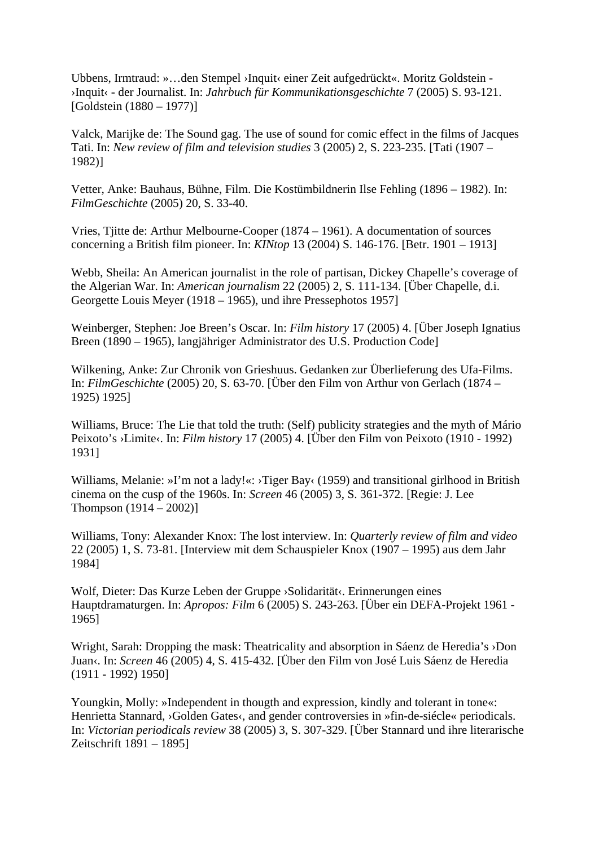Ubbens, Irmtraud: »…den Stempel ›Inquit‹ einer Zeit aufgedrückt«. Moritz Goldstein - ›Inquit‹ - der Journalist. In: *Jahrbuch für Kommunikationsgeschichte* 7 (2005) S. 93-121. [Goldstein (1880 – 1977)]

Valck, Marijke de: The Sound gag. The use of sound for comic effect in the films of Jacques Tati. In: *New review of film and television studies* 3 (2005) 2, S. 223-235. [Tati (1907 – 1982)]

Vetter, Anke: Bauhaus, Bühne, Film. Die Kostümbildnerin Ilse Fehling (1896 – 1982). In: *FilmGeschichte* (2005) 20, S. 33-40.

Vries, Tjitte de: Arthur Melbourne-Cooper (1874 – 1961). A documentation of sources concerning a British film pioneer. In: *KINtop* 13 (2004) S. 146-176. [Betr. 1901 – 1913]

Webb, Sheila: An American journalist in the role of partisan, Dickey Chapelle's coverage of the Algerian War. In: *American journalism* 22 (2005) 2, S. 111-134. [Über Chapelle, d.i. Georgette Louis Meyer (1918 – 1965), und ihre Pressephotos 1957]

Weinberger, Stephen: Joe Breen's Oscar. In: *Film history* 17 (2005) 4. [Über Joseph Ignatius Breen (1890 – 1965), langjähriger Administrator des U.S. Production Code]

Wilkening, Anke: Zur Chronik von Grieshuus. Gedanken zur Überlieferung des Ufa-Films. In: *FilmGeschichte* (2005) 20, S. 63-70. [Über den Film von Arthur von Gerlach (1874 – 1925) 1925]

Williams, Bruce: The Lie that told the truth: (Self) publicity strategies and the myth of Mário Peixoto's ›Limite‹. In: *Film history* 17 (2005) 4. [Über den Film von Peixoto (1910 - 1992) 1931]

Williams, Melanie: »I'm not a lady!«: >Tiger Bay‹ (1959) and transitional girlhood in British cinema on the cusp of the 1960s. In: *Screen* 46 (2005) 3, S. 361-372. [Regie: J. Lee Thompson  $(1914 - 2002)$ ]

Williams, Tony: Alexander Knox: The lost interview. In: *Quarterly review of film and video* 22 (2005) 1, S. 73-81. [Interview mit dem Schauspieler Knox (1907 – 1995) aus dem Jahr 1984]

Wolf, Dieter: Das Kurze Leben der Gruppe ›Solidarität‹. Erinnerungen eines Hauptdramaturgen. In: *Apropos: Film* 6 (2005) S. 243-263. [Über ein DEFA-Projekt 1961 - 1965]

Wright, Sarah: Dropping the mask: Theatricality and absorption in Sáenz de Heredia's > Don Juan«. In: *Screen* 46 (2005) 4, S. 415-432. [Über den Film von José Luis Sáenz de Heredia (1911 - 1992) 1950]

Youngkin, Molly: »Independent in thougth and expression, kindly and tolerant in tone«: Henrietta Stannard, >Golden Gates<, and gender controversies in »fin-de-siécle« periodicals. In: *Victorian periodicals review* 38 (2005) 3, S. 307-329. [Über Stannard und ihre literarische Zeitschrift 1891 – 1895]